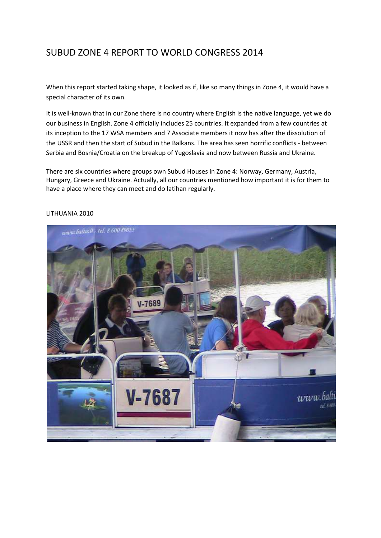# SUBUD ZONE 4 REPORT TO WORLD CONGRESS 2014

When this report started taking shape, it looked as if, like so many things in Zone 4, it would have a special character of its own.

It is well-known that in our Zone there is no country where English is the native language, yet we do our business in English. Zone 4 officially includes 25 countries. It expanded from a few countries at its inception to the 17 WSA members and 7 Associate members it now has after the dissolution of the USSR and then the start of Subud in the Balkans. The area has seen horrific conflicts - between Serbia and Bosnia/Croatia on the breakup of Yugoslavia and now between Russia and Ukraine.

There are six countries where groups own Subud Houses in Zone 4: Norway, Germany, Austria, Hungary, Greece and Ukraine. Actually, all our countries mentioned how important it is for them to have a place where they can meet and do latihan regularly.



### LITHUANIA 2010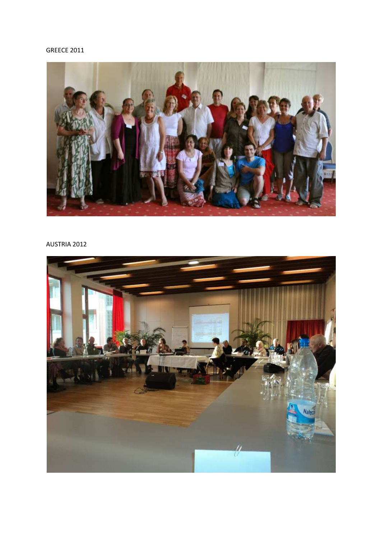## GREECE 2011



## AUSTRIA 2012

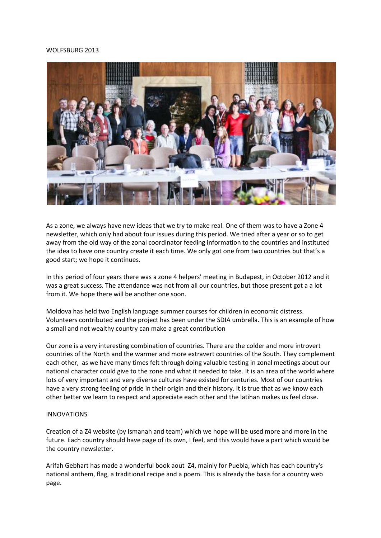#### WOLFSBURG 2013



As a zone, we always have new ideas that we try to make real. One of them was to have a Zone 4 newsletter, which only had about four issues during this period. We tried after a year or so to get away from the old way of the zonal coordinator feeding information to the countries and instituted the idea to have one country create it each time. We only got one from two countries but that's a good start; we hope it continues.

In this period of four years there was a zone 4 helpers' meeting in Budapest, in October 2012 and it was a great success. The attendance was not from all our countries, but those present got a a lot from it. We hope there will be another one soon.

Moldova has held two English language summer courses for children in economic distress. Volunteers contributed and the project has been under the SDIA umbrella. This is an example of how a small and not wealthy country can make a great contribution

Our zone is a very interesting combination of countries. There are the colder and more introvert countries of the North and the warmer and more extravert countries of the South. They complement each other, as we have many times felt through doing valuable testing in zonal meetings about our national character could give to the zone and what it needed to take. It is an area of the world where lots of very important and very diverse cultures have existed for centuries. Most of our countries have a very strong feeling of pride in their origin and their history. It is true that as we know each other better we learn to respect and appreciate each other and the latihan makes us feel close.

#### INNOVATIONS

Creation of a Z4 website (by Ismanah and team) which we hope will be used more and more in the future. Each country should have page of its own, I feel, and this would have a part which would be the country newsletter.

Arifah Gebhart has made a wonderful book aout Z4, mainly for Puebla, which has each country's national anthem, flag, a traditional recipe and a poem. This is already the basis for a country web page.